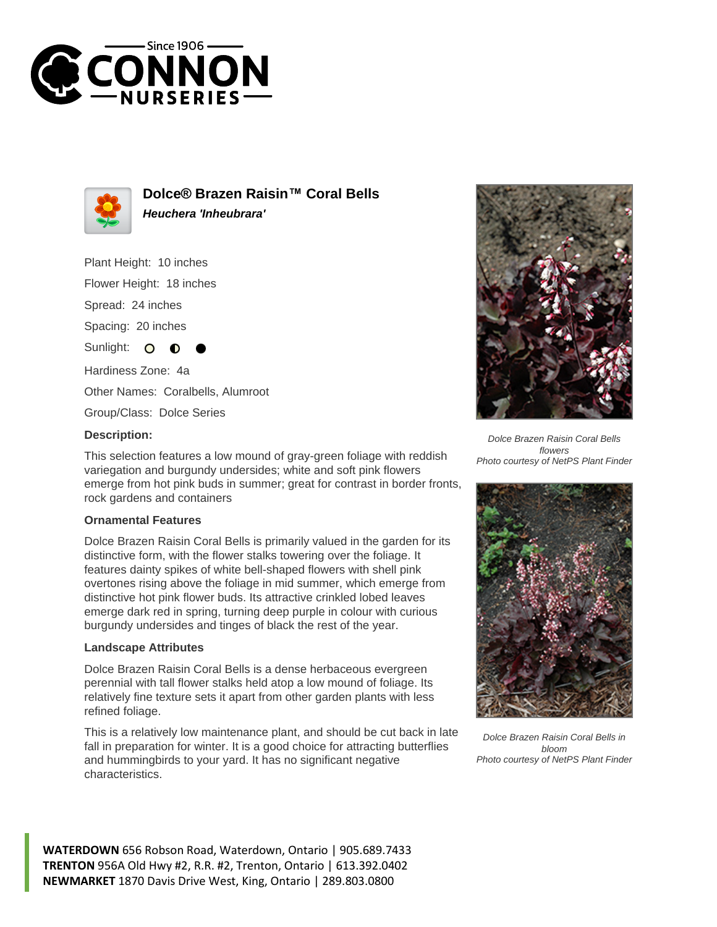



**Dolce® Brazen Raisin™ Coral Bells Heuchera 'Inheubrara'**

Plant Height: 10 inches

Flower Height: 18 inches

Spread: 24 inches

Spacing: 20 inches

Sunlight:  $\circ$ ∩

Hardiness Zone: 4a

Other Names: Coralbells, Alumroot

Group/Class: Dolce Series

## **Description:**

This selection features a low mound of gray-green foliage with reddish variegation and burgundy undersides; white and soft pink flowers emerge from hot pink buds in summer; great for contrast in border fronts, rock gardens and containers

## **Ornamental Features**

Dolce Brazen Raisin Coral Bells is primarily valued in the garden for its distinctive form, with the flower stalks towering over the foliage. It features dainty spikes of white bell-shaped flowers with shell pink overtones rising above the foliage in mid summer, which emerge from distinctive hot pink flower buds. Its attractive crinkled lobed leaves emerge dark red in spring, turning deep purple in colour with curious burgundy undersides and tinges of black the rest of the year.

## **Landscape Attributes**

Dolce Brazen Raisin Coral Bells is a dense herbaceous evergreen perennial with tall flower stalks held atop a low mound of foliage. Its relatively fine texture sets it apart from other garden plants with less refined foliage.

This is a relatively low maintenance plant, and should be cut back in late fall in preparation for winter. It is a good choice for attracting butterflies and hummingbirds to your yard. It has no significant negative characteristics.



Dolce Brazen Raisin Coral Bells flowers Photo courtesy of NetPS Plant Finder



Dolce Brazen Raisin Coral Bells in bloom Photo courtesy of NetPS Plant Finder

**WATERDOWN** 656 Robson Road, Waterdown, Ontario | 905.689.7433 **TRENTON** 956A Old Hwy #2, R.R. #2, Trenton, Ontario | 613.392.0402 **NEWMARKET** 1870 Davis Drive West, King, Ontario | 289.803.0800